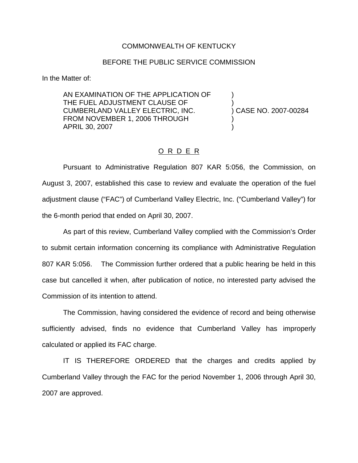## COMMONWEALTH OF KENTUCKY

## BEFORE THE PUBLIC SERVICE COMMISSION

In the Matter of:

AN EXAMINATION OF THE APPLICATION OF ) THE FUEL ADJUSTMENT CLAUSE OF CUMBERLAND VALLEY ELECTRIC, INC. ) CASE NO. 2007-00284 FROM NOVEMBER 1, 2006 THROUGH APRIL 30, 2007 )

## O R D E R

Pursuant to Administrative Regulation 807 KAR 5:056, the Commission, on August 3, 2007, established this case to review and evaluate the operation of the fuel adjustment clause ("FAC") of Cumberland Valley Electric, Inc. ("Cumberland Valley") for the 6-month period that ended on April 30, 2007.

As part of this review, Cumberland Valley complied with the Commission's Order to submit certain information concerning its compliance with Administrative Regulation 807 KAR 5:056. The Commission further ordered that a public hearing be held in this case but cancelled it when, after publication of notice, no interested party advised the Commission of its intention to attend.

The Commission, having considered the evidence of record and being otherwise sufficiently advised, finds no evidence that Cumberland Valley has improperly calculated or applied its FAC charge.

IT IS THEREFORE ORDERED that the charges and credits applied by Cumberland Valley through the FAC for the period November 1, 2006 through April 30, 2007 are approved.